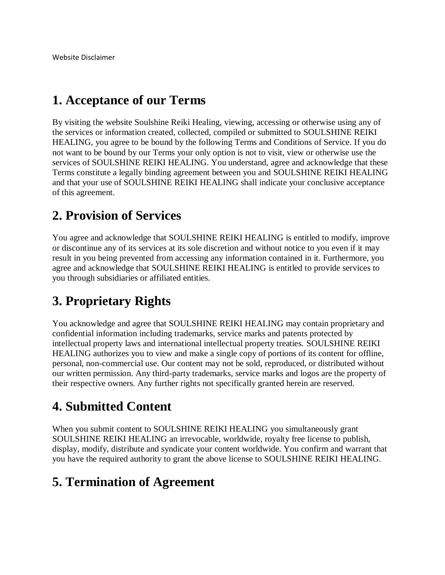### **1. Acceptance of our Terms**

By visiting the website Soulshine Reiki Healing, viewing, accessing or otherwise using any of the services or information created, collected, compiled or submitted to SOULSHINE REIKI HEALING, you agree to be bound by the following Terms and Conditions of Service. If you do not want to be bound by our Terms your only option is not to visit, view or otherwise use the services of SOULSHINE REIKI HEALING. You understand, agree and acknowledge that these Terms constitute a legally binding agreement between you and SOULSHINE REIKI HEALING and that your use of SOULSHINE REIKI HEALING shall indicate your conclusive acceptance of this agreement.

## **2. Provision of Services**

You agree and acknowledge that SOULSHINE REIKI HEALING is entitled to modify, improve or discontinue any of its services at its sole discretion and without notice to you even if it may result in you being prevented from accessing any information contained in it. Furthermore, you agree and acknowledge that SOULSHINE REIKI HEALING is entitled to provide services to you through subsidiaries or affiliated entities.

## **3. Proprietary Rights**

You acknowledge and agree that SOULSHINE REIKI HEALING may contain proprietary and confidential information including trademarks, service marks and patents protected by intellectual property laws and international intellectual property treaties. SOULSHINE REIKI HEALING authorizes you to view and make a single copy of portions of its content for offline, personal, non-commercial use. Our content may not be sold, reproduced, or distributed without our written permission. Any third-party trademarks, service marks and logos are the property of their respective owners. Any further rights not specifically granted herein are reserved.

## **4. Submitted Content**

When you submit content to SOULSHINE REIKI HEALING you simultaneously grant SOULSHINE REIKI HEALING an irrevocable, worldwide, royalty free license to publish, display, modify, distribute and syndicate your content worldwide. You confirm and warrant that you have the required authority to grant the above license to SOULSHINE REIKI HEALING.

#### **5. Termination of Agreement**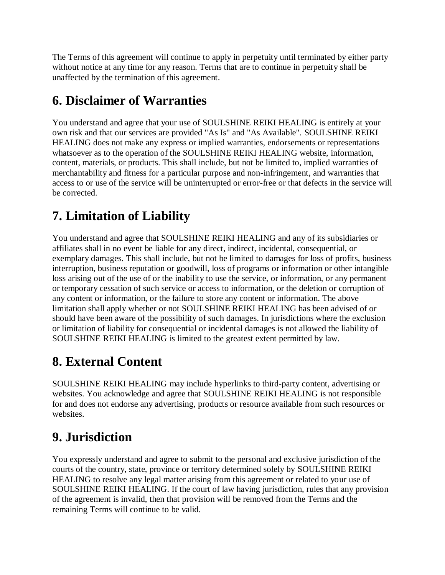The Terms of this agreement will continue to apply in perpetuity until terminated by either party without notice at any time for any reason. Terms that are to continue in perpetuity shall be unaffected by the termination of this agreement.

## **6. Disclaimer of Warranties**

You understand and agree that your use of SOULSHINE REIKI HEALING is entirely at your own risk and that our services are provided "As Is" and "As Available". SOULSHINE REIKI HEALING does not make any express or implied warranties, endorsements or representations whatsoever as to the operation of the SOULSHINE REIKI HEALING website, information, content, materials, or products. This shall include, but not be limited to, implied warranties of merchantability and fitness for a particular purpose and non-infringement, and warranties that access to or use of the service will be uninterrupted or error-free or that defects in the service will be corrected.

# **7. Limitation of Liability**

You understand and agree that SOULSHINE REIKI HEALING and any of its subsidiaries or affiliates shall in no event be liable for any direct, indirect, incidental, consequential, or exemplary damages. This shall include, but not be limited to damages for loss of profits, business interruption, business reputation or goodwill, loss of programs or information or other intangible loss arising out of the use of or the inability to use the service, or information, or any permanent or temporary cessation of such service or access to information, or the deletion or corruption of any content or information, or the failure to store any content or information. The above limitation shall apply whether or not SOULSHINE REIKI HEALING has been advised of or should have been aware of the possibility of such damages. In jurisdictions where the exclusion or limitation of liability for consequential or incidental damages is not allowed the liability of SOULSHINE REIKI HEALING is limited to the greatest extent permitted by law.

# **8. External Content**

SOULSHINE REIKI HEALING may include hyperlinks to third-party content, advertising or websites. You acknowledge and agree that SOULSHINE REIKI HEALING is not responsible for and does not endorse any advertising, products or resource available from such resources or websites.

# **9. Jurisdiction**

You expressly understand and agree to submit to the personal and exclusive jurisdiction of the courts of the country, state, province or territory determined solely by SOULSHINE REIKI HEALING to resolve any legal matter arising from this agreement or related to your use of SOULSHINE REIKI HEALING. If the court of law having jurisdiction, rules that any provision of the agreement is invalid, then that provision will be removed from the Terms and the remaining Terms will continue to be valid.